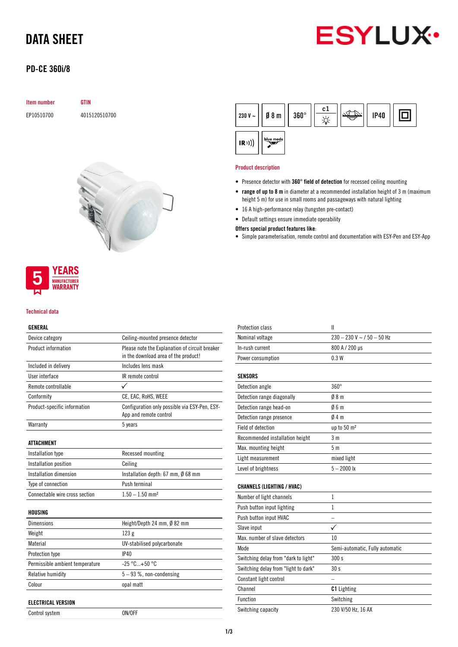# DATA SHEET

# **ESYLUX**

# PD-CE 360i/8

### Item number GTIN

EP10510700 4015120510700



## **YEARS MANUFACTURER** WARRANTY

#### Technical data

### GENERAL

| Device category                 | Ceiling-mounted presence detector                                                      |  |  |
|---------------------------------|----------------------------------------------------------------------------------------|--|--|
| Product information             | Please note the Explanation of circuit breaker<br>in the download area of the product! |  |  |
| Included in delivery            | Includes lens mask                                                                     |  |  |
| User interface                  | IR remote control                                                                      |  |  |
| Remote controllable             |                                                                                        |  |  |
| Conformity                      | CE, EAC, RoHS, WEEE                                                                    |  |  |
| Product-specific information    | Configuration only possible via ESY-Pen, ESY-<br>App and remote control                |  |  |
| Warranty                        | 5 years                                                                                |  |  |
| <b>ATTACHMENT</b>               |                                                                                        |  |  |
| Installation type               | Recessed mounting                                                                      |  |  |
| Installation position           | Ceiling                                                                                |  |  |
| Installation dimension          | Installation depth: 67 mm, Ø 68 mm                                                     |  |  |
| Type of connection              | Push terminal                                                                          |  |  |
| Connectable wire cross section  | $1.50 - 1.50$ mm <sup>2</sup>                                                          |  |  |
| HOUSING                         |                                                                                        |  |  |
| <b>Dimensions</b>               | Height/Depth 24 mm, Ø 82 mm                                                            |  |  |
| Weight                          | 123g                                                                                   |  |  |
| Material                        | UV-stabilised polycarbonate                                                            |  |  |
| Protection type                 | IP40                                                                                   |  |  |
| Permissible ambient temperature | $-25 °C+50 °C$                                                                         |  |  |
| Relative humidity               | $5 - 93$ %, non-condensing                                                             |  |  |

# ELECTRICAL VERSION

Colour opal matt

Control system ON/OFF

| 230 V ~ $  $ | $Ø_8$ m   | $360^\circ$ | c1 | <b>IP40</b> |  |
|--------------|-----------|-------------|----|-------------|--|
| (R))         | blue mode |             |    |             |  |

#### Product description

- Presence detector with 360° field of detection for recessed ceiling mounting
- range of up to 8 m in diameter at a recommended installation height of 3 m (maximum height 5 m) for use in small rooms and passageways with natural lighting
- 16 A high-performance relay (tungsten pre-contact)
- Default settings ensure immediate operability

#### Offers special product features like:

• Simple parameterisation, remote control and documentation with ESY-Pen and ESY-App

| <b>Protection class</b>              | $\mathbf{I}$                    |
|--------------------------------------|---------------------------------|
| Nominal voltage                      | $230 - 230$ V ~ $/$ 50 - 50 Hz  |
| In-rush current                      | 800 A / 200 µs                  |
| Power consumption                    | 0.3W                            |
|                                      |                                 |
| SENSORS                              |                                 |
| Detection angle                      | $360^\circ$                     |
| Detection range diagonally           | 08 <sub>m</sub>                 |
| Detection range head-on              | Ø6 m                            |
| Detection range presence             | 04m                             |
| <b>Field of detection</b>            | up to 50 m <sup>2</sup>         |
| Recommended installation height      | 3m                              |
| Max. mounting height                 | 5 m                             |
| Light measurement                    | mixed light                     |
| Level of brightness                  | $5 - 2000$ lx                   |
|                                      |                                 |
| <b>CHANNELS (LIGHTING / HVAC)</b>    |                                 |
| Number of light channels             | 1                               |
| Push button input lighting           | 1                               |
| Push button input HVAC               |                                 |
| Slave input                          |                                 |
| Max. number of slave detectors       | 10                              |
| Mode                                 | Semi-automatic, Fully automatic |
| Switching delay from "dark to light" | 300 s                           |
| Switching delay from "light to dark" | 30 <sub>s</sub>                 |
| Constant light control               |                                 |
| Channel                              | <b>C1</b> Lighting              |
| Function                             | Switching                       |
| Switching capacity                   | 230 V/50 Hz, 16 AX              |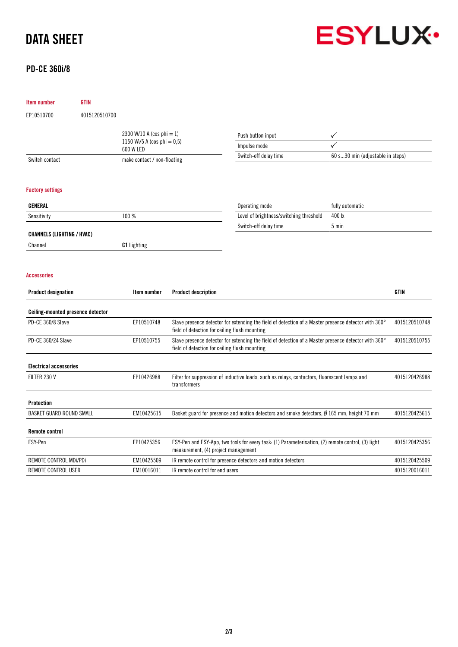# DATA SHEET

Item number GTIN

# PD-CE 360i/8



| EP10510700                        | 4015120510700             |                             |                                                                                                                                                       |                                                                                                      |                                  |               |
|-----------------------------------|---------------------------|-----------------------------|-------------------------------------------------------------------------------------------------------------------------------------------------------|------------------------------------------------------------------------------------------------------|----------------------------------|---------------|
|                                   | 2300 W/10 A (cos phi = 1) |                             |                                                                                                                                                       | Push button input                                                                                    |                                  |               |
| 1150 VA/5 A (cos phi = $0,5$ )    |                           | Impulse mode                |                                                                                                                                                       |                                                                                                      |                                  |               |
|                                   | 600 W LED                 |                             |                                                                                                                                                       | Switch-off delay time                                                                                | 60 s30 min (adjustable in steps) |               |
| Switch contact                    |                           | make contact / non-floating |                                                                                                                                                       |                                                                                                      |                                  |               |
| <b>Factory settings</b>           |                           |                             |                                                                                                                                                       |                                                                                                      |                                  |               |
| GENERAL                           |                           |                             |                                                                                                                                                       | Operating mode                                                                                       | fully automatic                  |               |
| Sensitivity                       |                           | 100 %                       |                                                                                                                                                       | Level of brightness/switching threshold                                                              | 400 lx                           |               |
|                                   |                           |                             |                                                                                                                                                       | Switch-off delay time                                                                                | 5 min                            |               |
| <b>CHANNELS (LIGHTING / HVAC)</b> |                           |                             |                                                                                                                                                       |                                                                                                      |                                  |               |
| Channel                           |                           | <b>C1</b> Lighting          |                                                                                                                                                       |                                                                                                      |                                  |               |
| <b>Accessories</b>                |                           |                             |                                                                                                                                                       |                                                                                                      |                                  |               |
| <b>Product designation</b>        |                           | Item number                 | <b>Product description</b>                                                                                                                            |                                                                                                      |                                  | GTIN          |
| Ceiling-mounted presence detector |                           |                             |                                                                                                                                                       |                                                                                                      |                                  |               |
| PD-CE 360/8 Slave                 |                           | EP10510748                  | Slave presence detector for extending the field of detection of a Master presence detector with 360°<br>field of detection for ceiling flush mounting |                                                                                                      |                                  | 4015120510748 |
| PD-CE 360/24 Slave                |                           | EP10510755                  | Slave presence detector for extending the field of detection of a Master presence detector with 360°<br>field of detection for ceiling flush mounting |                                                                                                      |                                  | 4015120510755 |
| <b>Electrical accessories</b>     |                           |                             |                                                                                                                                                       |                                                                                                      |                                  |               |
| FILTER 230 V                      |                           | EP10426988                  | Filter for suppression of inductive loads, such as relays, contactors, fluorescent lamps and<br>transformers                                          |                                                                                                      |                                  | 4015120426988 |
| <b>Protection</b>                 |                           |                             |                                                                                                                                                       |                                                                                                      |                                  |               |
| BASKET GUARD ROUND SMALL          |                           | EM10425615                  |                                                                                                                                                       | Basket guard for presence and motion detectors and smoke detectors, $\emptyset$ 165 mm, height 70 mm |                                  | 4015120425615 |
| <b>Remote control</b>             |                           |                             |                                                                                                                                                       |                                                                                                      |                                  |               |
| ESY-Pen                           |                           | EP10425356                  | measurement, (4) project management                                                                                                                   | ESY-Pen and ESY-App, two tools for every task: (1) Parameterisation, (2) remote control, (3) light   |                                  | 4015120425356 |
| REMOTE CONTROL MDi/PDi            |                           | EM10425509                  |                                                                                                                                                       | IR remote control for presence detectors and motion detectors                                        |                                  | 4015120425509 |
| REMOTE CONTROL USER               |                           | EM10016011                  | IR remote control for end users                                                                                                                       |                                                                                                      |                                  | 4015120016011 |